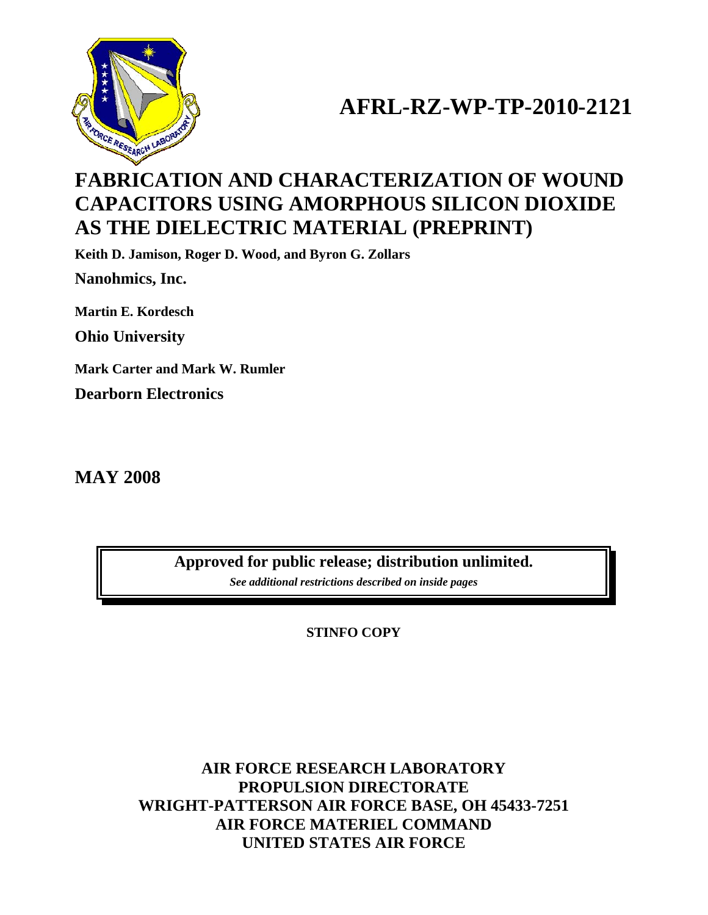

# **AFRL-RZ-WP-TP-2010-2121**

# **FABRICATION AND CHARACTERIZATION OF WOUND CAPACITORS USING AMORPHOUS SILICON DIOXIDE AS THE DIELECTRIC MATERIAL (PREPRINT)**

**Keith D. Jamison, Roger D. Wood, and Byron G. Zollars** 

**Nanohmics, Inc.** 

**Martin E. Kordesch** 

**Ohio University** 

**Mark Carter and Mark W. Rumler Dearborn Electronics** 

**MAY 2008** 

**Approved for public release; distribution unlimited.**  *See additional restrictions described on inside pages*

**STINFO COPY** 

**AIR FORCE RESEARCH LABORATORY PROPULSION DIRECTORATE WRIGHT-PATTERSON AIR FORCE BASE, OH 45433-7251 AIR FORCE MATERIEL COMMAND UNITED STATES AIR FORCE**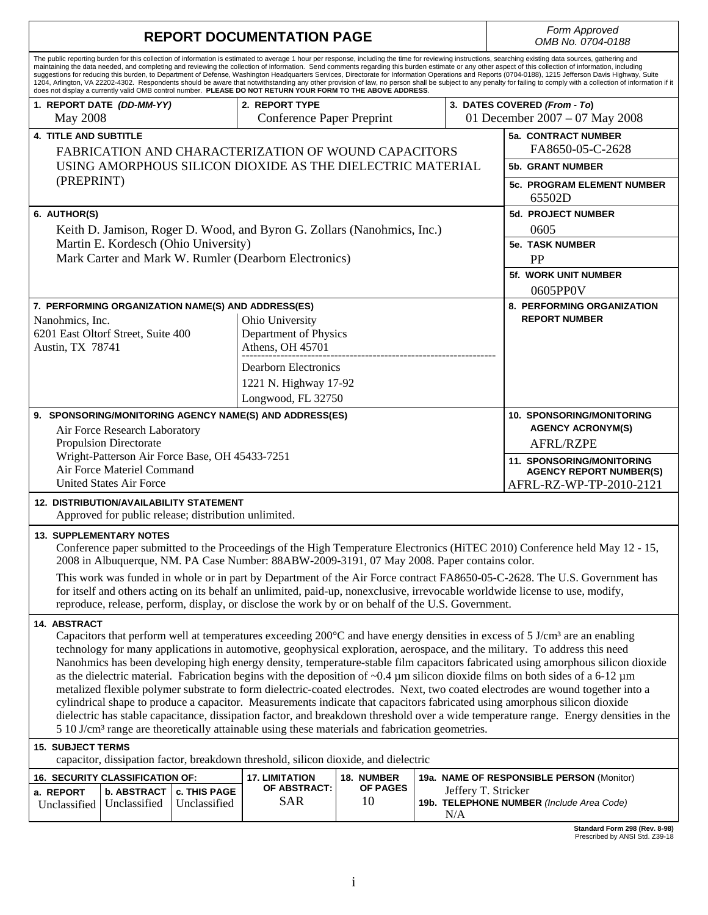|                                                                                                                                                                                                                                                                                                                                                                                                                                                                                                                                                                                                                                                                                                                                                                                                                                                                                                                                                                    | <b>REPORT DOCUMENTATION PAGE</b>                                                                                                                                                                                                            | Form Approved<br>OMB No. 0704-0188                                                                                                                                         |                                                                                                                                                                                                  |                              |                                                    |                            |                                                                                                                                                                                                                                                                                                                                                                                                                                                                                                                                                                                                                                                                                                                                                                                                                                                                                                                                                                      |  |  |  |  |
|--------------------------------------------------------------------------------------------------------------------------------------------------------------------------------------------------------------------------------------------------------------------------------------------------------------------------------------------------------------------------------------------------------------------------------------------------------------------------------------------------------------------------------------------------------------------------------------------------------------------------------------------------------------------------------------------------------------------------------------------------------------------------------------------------------------------------------------------------------------------------------------------------------------------------------------------------------------------|---------------------------------------------------------------------------------------------------------------------------------------------------------------------------------------------------------------------------------------------|----------------------------------------------------------------------------------------------------------------------------------------------------------------------------|--------------------------------------------------------------------------------------------------------------------------------------------------------------------------------------------------|------------------------------|----------------------------------------------------|----------------------------|----------------------------------------------------------------------------------------------------------------------------------------------------------------------------------------------------------------------------------------------------------------------------------------------------------------------------------------------------------------------------------------------------------------------------------------------------------------------------------------------------------------------------------------------------------------------------------------------------------------------------------------------------------------------------------------------------------------------------------------------------------------------------------------------------------------------------------------------------------------------------------------------------------------------------------------------------------------------|--|--|--|--|
| The public reporting burden for this collection of information is estimated to average 1 hour per response, including the time for reviewing instructions, searching existing data sources, gathering and<br>maintaining the data needed, and completing and reviewing the collection of information. Send comments regarding this burden estimate or any other aspect of this collection of information, including<br>suggestions for reducing this burden, to Department of Defense, Washington Headquarters Services, Directorate for Information Operations and Reports (0704-0188), 1215 Jefferson Davis Highway, Suite<br>1204, Arlington, VA 22202-4302. Respondents should be aware that notwithstanding any other provision of law, no person shall be subject to any penalty for failing to comply with a collection of information if it<br>does not display a currently valid OMB control number. PLEASE DO NOT RETURN YOUR FORM TO THE ABOVE ADDRESS. |                                                                                                                                                                                                                                             |                                                                                                                                                                            |                                                                                                                                                                                                  |                              |                                                    |                            |                                                                                                                                                                                                                                                                                                                                                                                                                                                                                                                                                                                                                                                                                                                                                                                                                                                                                                                                                                      |  |  |  |  |
| <b>May 2008</b>                                                                                                                                                                                                                                                                                                                                                                                                                                                                                                                                                                                                                                                                                                                                                                                                                                                                                                                                                    | 1. REPORT DATE (DD-MM-YY)                                                                                                                                                                                                                   |                                                                                                                                                                            | 3. DATES COVERED (From - To)<br>01 December 2007 - 07 May 2008                                                                                                                                   |                              |                                                    |                            |                                                                                                                                                                                                                                                                                                                                                                                                                                                                                                                                                                                                                                                                                                                                                                                                                                                                                                                                                                      |  |  |  |  |
| <b>4. TITLE AND SUBTITLE</b><br>(PREPRINT)                                                                                                                                                                                                                                                                                                                                                                                                                                                                                                                                                                                                                                                                                                                                                                                                                                                                                                                         | <b>FABRICATION AND CHARACTERIZATION OF WOUND CAPACITORS</b><br>USING AMORPHOUS SILICON DIOXIDE AS THE DIELECTRIC MATERIAL                                                                                                                   | 5a. CONTRACT NUMBER<br>FA8650-05-C-2628<br><b>5b. GRANT NUMBER</b><br><b>5c. PROGRAM ELEMENT NUMBER</b><br>65502D                                                          |                                                                                                                                                                                                  |                              |                                                    |                            |                                                                                                                                                                                                                                                                                                                                                                                                                                                                                                                                                                                                                                                                                                                                                                                                                                                                                                                                                                      |  |  |  |  |
| 6. AUTHOR(S)                                                                                                                                                                                                                                                                                                                                                                                                                                                                                                                                                                                                                                                                                                                                                                                                                                                                                                                                                       | Keith D. Jamison, Roger D. Wood, and Byron G. Zollars (Nanohmics, Inc.)<br>Martin E. Kordesch (Ohio University)<br>Mark Carter and Mark W. Rumler (Dearborn Electronics)                                                                    | <b>5d. PROJECT NUMBER</b><br>0605<br><b>5e. TASK NUMBER</b><br><b>PP</b><br><b>5f. WORK UNIT NUMBER</b><br>0605PP0V                                                        |                                                                                                                                                                                                  |                              |                                                    |                            |                                                                                                                                                                                                                                                                                                                                                                                                                                                                                                                                                                                                                                                                                                                                                                                                                                                                                                                                                                      |  |  |  |  |
| Nanohmics, Inc.<br>Austin, TX 78741                                                                                                                                                                                                                                                                                                                                                                                                                                                                                                                                                                                                                                                                                                                                                                                                                                                                                                                                | 6201 East Oltorf Street, Suite 400                                                                                                                                                                                                          |                                                                                                                                                                            | 7. PERFORMING ORGANIZATION NAME(S) AND ADDRESS(ES)<br>Ohio University<br>Department of Physics<br>Athens, OH 45701<br><b>Dearborn Electronics</b><br>1221 N. Highway 17-92<br>Longwood, FL 32750 |                              | 8. PERFORMING ORGANIZATION<br><b>REPORT NUMBER</b> |                            |                                                                                                                                                                                                                                                                                                                                                                                                                                                                                                                                                                                                                                                                                                                                                                                                                                                                                                                                                                      |  |  |  |  |
|                                                                                                                                                                                                                                                                                                                                                                                                                                                                                                                                                                                                                                                                                                                                                                                                                                                                                                                                                                    | 9. SPONSORING/MONITORING AGENCY NAME(S) AND ADDRESS(ES)<br>Air Force Research Laboratory<br><b>Propulsion Directorate</b><br>Wright-Patterson Air Force Base, OH 45433-7251<br>Air Force Materiel Command<br><b>United States Air Force</b> | <b>10. SPONSORING/MONITORING</b><br><b>AGENCY ACRONYM(S)</b><br><b>AFRL/RZPE</b><br>11. SPONSORING/MONITORING<br><b>AGENCY REPORT NUMBER(S)</b><br>AFRL-RZ-WP-TP-2010-2121 |                                                                                                                                                                                                  |                              |                                                    |                            |                                                                                                                                                                                                                                                                                                                                                                                                                                                                                                                                                                                                                                                                                                                                                                                                                                                                                                                                                                      |  |  |  |  |
|                                                                                                                                                                                                                                                                                                                                                                                                                                                                                                                                                                                                                                                                                                                                                                                                                                                                                                                                                                    |                                                                                                                                                                                                                                             | <b>12. DISTRIBUTION/AVAILABILITY STATEMENT</b><br>Approved for public release; distribution unlimited.                                                                     |                                                                                                                                                                                                  |                              |                                                    |                            |                                                                                                                                                                                                                                                                                                                                                                                                                                                                                                                                                                                                                                                                                                                                                                                                                                                                                                                                                                      |  |  |  |  |
| <b>13. SUPPLEMENTARY NOTES</b><br>Conference paper submitted to the Proceedings of the High Temperature Electronics (HiTEC 2010) Conference held May 12 - 15,<br>2008 in Albuquerque, NM. PA Case Number: 88ABW-2009-3191, 07 May 2008. Paper contains color.<br>This work was funded in whole or in part by Department of the Air Force contract FA8650-05-C-2628. The U.S. Government has<br>for itself and others acting on its behalf an unlimited, paid-up, nonexclusive, irrevocable worldwide license to use, modify,<br>reproduce, release, perform, display, or disclose the work by or on behalf of the U.S. Government.                                                                                                                                                                                                                                                                                                                                 |                                                                                                                                                                                                                                             |                                                                                                                                                                            |                                                                                                                                                                                                  |                              |                                                    |                            |                                                                                                                                                                                                                                                                                                                                                                                                                                                                                                                                                                                                                                                                                                                                                                                                                                                                                                                                                                      |  |  |  |  |
| 14. ABSTRACT                                                                                                                                                                                                                                                                                                                                                                                                                                                                                                                                                                                                                                                                                                                                                                                                                                                                                                                                                       |                                                                                                                                                                                                                                             |                                                                                                                                                                            | 5 10 J/cm <sup>3</sup> range are theoretically attainable using these materials and fabrication geometries.                                                                                      |                              |                                                    |                            | Capacitors that perform well at temperatures exceeding 200°C and have energy densities in excess of 5 J/cm <sup>3</sup> are an enabling<br>technology for many applications in automotive, geophysical exploration, aerospace, and the military. To address this need<br>Nanohmics has been developing high energy density, temperature-stable film capacitors fabricated using amorphous silicon dioxide<br>as the dielectric material. Fabrication begins with the deposition of $\sim 0.4 \mu$ m silicon dioxide films on both sides of a 6-12 $\mu$ m<br>metalized flexible polymer substrate to form dielectric-coated electrodes. Next, two coated electrodes are wound together into a<br>cylindrical shape to produce a capacitor. Measurements indicate that capacitors fabricated using amorphous silicon dioxide<br>dielectric has stable capacitance, dissipation factor, and breakdown threshold over a wide temperature range. Energy densities in the |  |  |  |  |
| <b>15. SUBJECT TERMS</b><br>capacitor, dissipation factor, breakdown threshold, silicon dioxide, and dielectric                                                                                                                                                                                                                                                                                                                                                                                                                                                                                                                                                                                                                                                                                                                                                                                                                                                    |                                                                                                                                                                                                                                             |                                                                                                                                                                            |                                                                                                                                                                                                  |                              |                                                    |                            |                                                                                                                                                                                                                                                                                                                                                                                                                                                                                                                                                                                                                                                                                                                                                                                                                                                                                                                                                                      |  |  |  |  |
| a. REPORT<br>Unclassified                                                                                                                                                                                                                                                                                                                                                                                                                                                                                                                                                                                                                                                                                                                                                                                                                                                                                                                                          | <b>16. SECURITY CLASSIFICATION OF:</b><br><b>b. ABSTRACT</b><br>Unclassified                                                                                                                                                                | <b>c. THIS PAGE</b><br>Unclassified                                                                                                                                        | <b>17. LIMITATION</b><br>OF ABSTRACT:<br><b>SAR</b>                                                                                                                                              | 18. NUMBER<br>OF PAGES<br>10 |                                                    | Jeffery T. Stricker<br>N/A | 19a. NAME OF RESPONSIBLE PERSON (Monitor)<br>19b. TELEPHONE NUMBER (Include Area Code)                                                                                                                                                                                                                                                                                                                                                                                                                                                                                                                                                                                                                                                                                                                                                                                                                                                                               |  |  |  |  |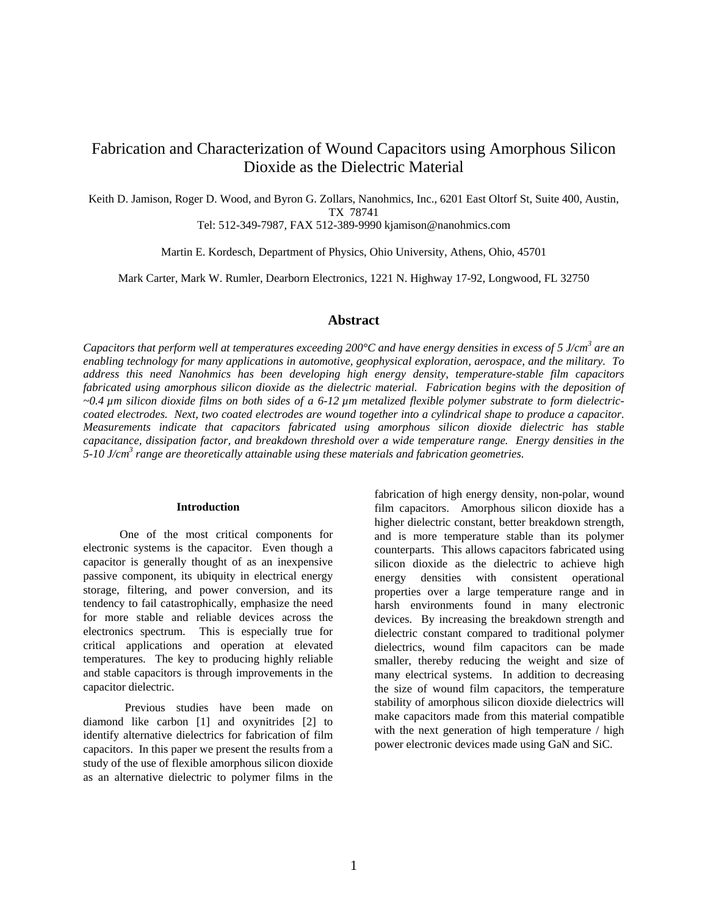# Fabrication and Characterization of Wound Capacitors using Amorphous Silicon Dioxide as the Dielectric Material

Keith D. Jamison, Roger D. Wood, and Byron G. Zollars, Nanohmics, Inc., 6201 East Oltorf St, Suite 400, Austin, TX 78741

Tel: 512-349-7987, FAX 512-389-9990 kjamison@nanohmics.com

Martin E. Kordesch, Department of Physics, Ohio University, Athens, Ohio, 45701

Mark Carter, Mark W. Rumler, Dearborn Electronics, 1221 N. Highway 17-92, Longwood, FL 32750

## **Abstract**

Capacitors that perform well at temperatures exceeding 200°C and have energy densities in excess of 5 J/cm<sup>3</sup> are an *enabling technology for many applications in automotive, geophysical exploration, aerospace, and the military. To address this need Nanohmics has been developing high energy density, temperature-stable film capacitors fabricated using amorphous silicon dioxide as the dielectric material. Fabrication begins with the deposition of ~0.4 µm silicon dioxide films on both sides of a 6-12 µm metalized flexible polymer substrate to form dielectriccoated electrodes. Next, two coated electrodes are wound together into a cylindrical shape to produce a capacitor. Measurements indicate that capacitors fabricated using amorphous silicon dioxide dielectric has stable capacitance, dissipation factor, and breakdown threshold over a wide temperature range. Energy densities in the 5-10 J/cm<sup>3</sup> range are theoretically attainable using these materials and fabrication geometries.* 

### **Introduction**

One of the most critical components for electronic systems is the capacitor. Even though a capacitor is generally thought of as an inexpensive passive component, its ubiquity in electrical energy storage, filtering, and power conversion, and its tendency to fail catastrophically, emphasize the need for more stable and reliable devices across the electronics spectrum. This is especially true for critical applications and operation at elevated temperatures. The key to producing highly reliable and stable capacitors is through improvements in the capacitor dielectric.

Previous studies have been made on diamond like carbon [1] and oxynitrides [2] to identify alternative dielectrics for fabrication of film capacitors. In this paper we present the results from a study of the use of flexible amorphous silicon dioxide as an alternative dielectric to polymer films in the

fabrication of high energy density, non-polar, wound film capacitors. Amorphous silicon dioxide has a higher dielectric constant, better breakdown strength, and is more temperature stable than its polymer counterparts. This allows capacitors fabricated using silicon dioxide as the dielectric to achieve high energy densities with consistent operational properties over a large temperature range and in harsh environments found in many electronic devices. By increasing the breakdown strength and dielectric constant compared to traditional polymer dielectrics, wound film capacitors can be made smaller, thereby reducing the weight and size of many electrical systems. In addition to decreasing the size of wound film capacitors, the temperature stability of amorphous silicon dioxide dielectrics will make capacitors made from this material compatible with the next generation of high temperature / high power electronic devices made using GaN and SiC.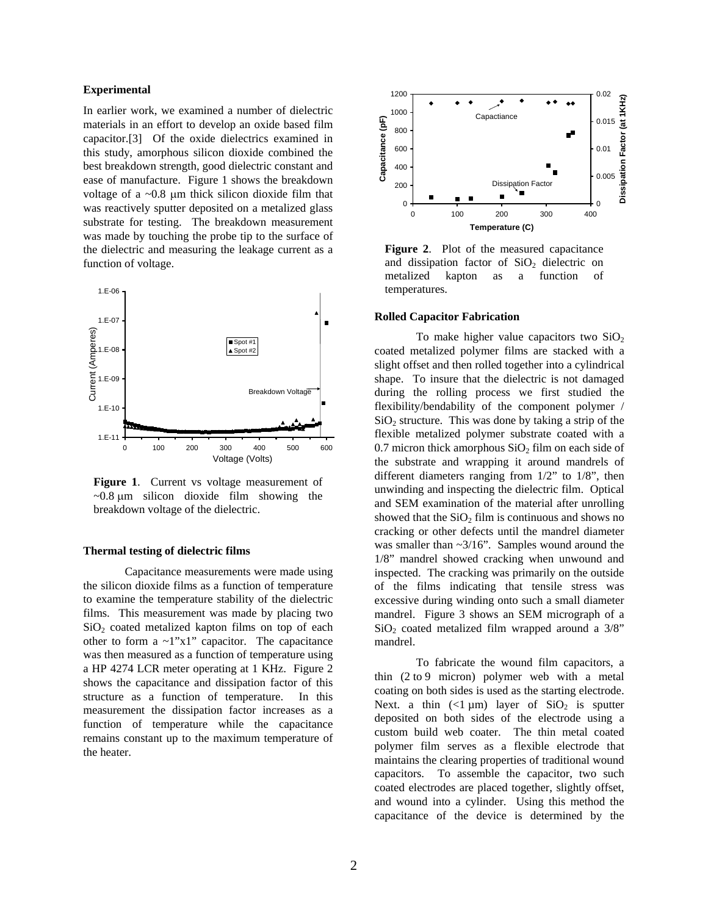### **Experimental**

In earlier work, we examined a number of dielectric materials in an effort to develop an oxide based film capacitor.[3] Of the oxide dielectrics examined in this study, amorphous silicon dioxide combined the best breakdown strength, good dielectric constant and ease of manufacture. Figure 1 shows the breakdown voltage of a  $\sim 0.8$  µm thick silicon dioxide film that was reactively sputter deposited on a metalized glass substrate for testing. The breakdown measurement was made by touching the probe tip to the surface of the dielectric and measuring the leakage current as a function of voltage.



**Figure 1**. Current vs voltage measurement of  $\sim 0.8$  µm silicon dioxide film showing the breakdown voltage of the dielectric.

#### **Thermal testing of dielectric films**

Capacitance measurements were made using the silicon dioxide films as a function of temperature to examine the temperature stability of the dielectric films. This measurement was made by placing two  $SiO<sub>2</sub>$  coated metalized kapton films on top of each other to form a ~1"x1" capacitor. The capacitance was then measured as a function of temperature using a HP 4274 LCR meter operating at 1 KHz. Figure 2 shows the capacitance and dissipation factor of this structure as a function of temperature. In this measurement the dissipation factor increases as a function of temperature while the capacitance remains constant up to the maximum temperature of the heater.



**Figure 2**. Plot of the measured capacitance and dissipation factor of  $SiO<sub>2</sub>$  dielectric on metalized kapton as a function of temperatures.

#### **Rolled Capacitor Fabrication**

To make higher value capacitors two  $SiO<sub>2</sub>$ coated metalized polymer films are stacked with a slight offset and then rolled together into a cylindrical shape. To insure that the dielectric is not damaged during the rolling process we first studied the flexibility/bendability of the component polymer /  $SiO<sub>2</sub>$  structure. This was done by taking a strip of the flexible metalized polymer substrate coated with a  $0.7$  micron thick amorphous  $SiO<sub>2</sub>$  film on each side of the substrate and wrapping it around mandrels of different diameters ranging from 1/2" to 1/8", then unwinding and inspecting the dielectric film. Optical and SEM examination of the material after unrolling showed that the  $SiO<sub>2</sub>$  film is continuous and shows no cracking or other defects until the mandrel diameter was smaller than  $\sim 3/16$ ". Samples wound around the 1/8" mandrel showed cracking when unwound and inspected. The cracking was primarily on the outside of the films indicating that tensile stress was excessive during winding onto such a small diameter mandrel. Figure 3 shows an SEM micrograph of a  $SiO<sub>2</sub>$  coated metalized film wrapped around a  $3/8$ " mandrel.

To fabricate the wound film capacitors, a thin (2 to 9 micron) polymer web with a metal coating on both sides is used as the starting electrode. Next. a thin  $\left(\frac{1}{1} \mu m\right)$  layer of SiO<sub>2</sub> is sputter deposited on both sides of the electrode using a custom build web coater. The thin metal coated polymer film serves as a flexible electrode that maintains the clearing properties of traditional wound capacitors. To assemble the capacitor, two such coated electrodes are placed together, slightly offset, and wound into a cylinder. Using this method the capacitance of the device is determined by the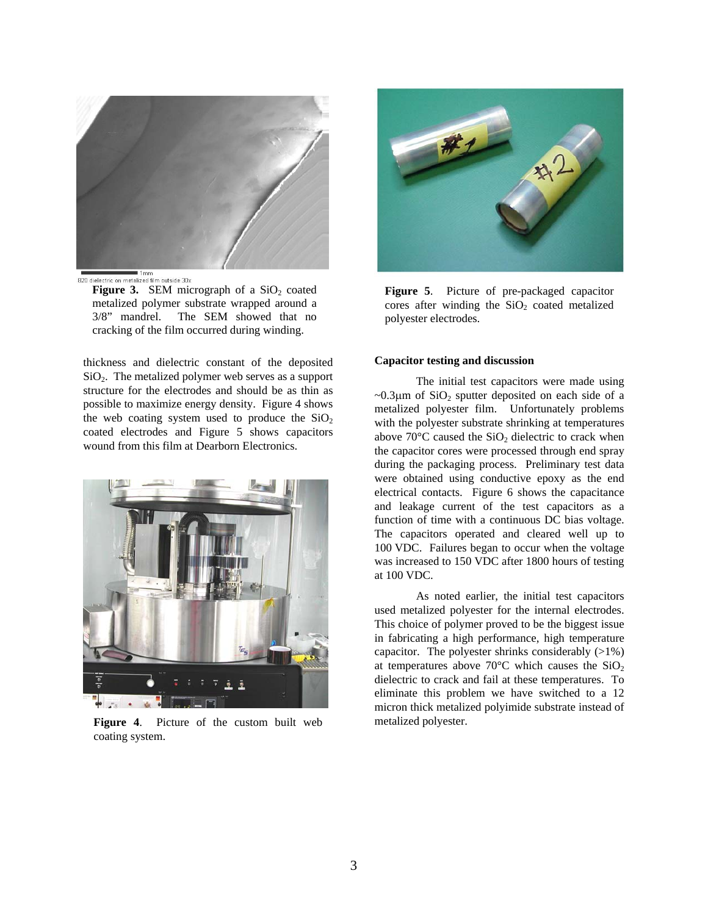

1mm<br>820 dielectric on metalized film outside 30x

**Figure 3.** SEM micrograph of a  $SiO<sub>2</sub>$  coated metalized polymer substrate wrapped around a 3/8" mandrel. The SEM showed that no cracking of the film occurred during winding.

thickness and dielectric constant of the deposited  $SiO<sub>2</sub>$ . The metalized polymer web serves as a support structure for the electrodes and should be as thin as possible to maximize energy density. Figure 4 shows the web coating system used to produce the  $SiO<sub>2</sub>$ coated electrodes and Figure 5 shows capacitors wound from this film at Dearborn Electronics.



**Figure 4**. Picture of the custom built web coating system.



**Figure 5**. Picture of pre-packaged capacitor cores after winding the  $SiO<sub>2</sub>$  coated metalized polyester electrodes.

#### **Capacitor testing and discussion**

The initial test capacitors were made using  $\sim 0.3 \mu$ m of SiO<sub>2</sub> sputter deposited on each side of a metalized polyester film. Unfortunately problems with the polyester substrate shrinking at temperatures above  $70^{\circ}$ C caused the  $SiO<sub>2</sub>$  dielectric to crack when the capacitor cores were processed through end spray during the packaging process. Preliminary test data were obtained using conductive epoxy as the end electrical contacts. Figure 6 shows the capacitance and leakage current of the test capacitors as a function of time with a continuous DC bias voltage. The capacitors operated and cleared well up to 100 VDC. Failures began to occur when the voltage was increased to 150 VDC after 1800 hours of testing at 100 VDC.

As noted earlier, the initial test capacitors used metalized polyester for the internal electrodes. This choice of polymer proved to be the biggest issue in fabricating a high performance, high temperature capacitor. The polyester shrinks considerably  $(>1\%)$ at temperatures above 70 $\degree$ C which causes the SiO<sub>2</sub> dielectric to crack and fail at these temperatures. To eliminate this problem we have switched to a 12 micron thick metalized polyimide substrate instead of metalized polyester.